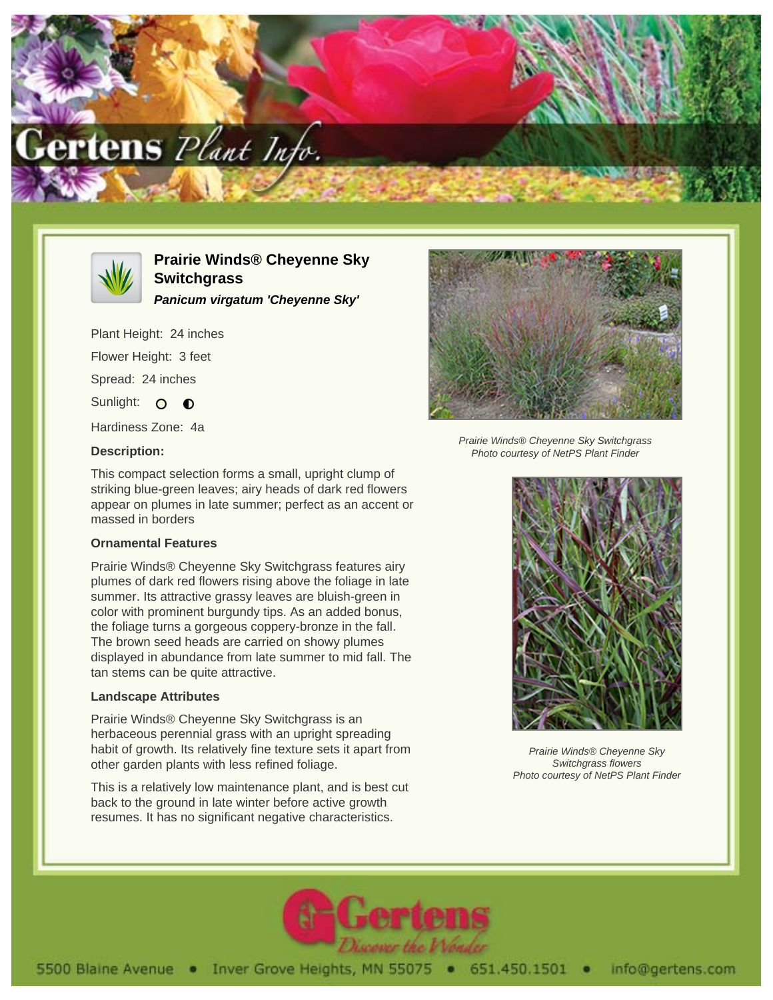



# **Prairie Winds® Cheyenne Sky Switchgrass**

**Panicum virgatum 'Cheyenne Sky'**

Plant Height: 24 inches Flower Height: 3 feet

Spread: 24 inches

Sunlight: O O

Hardiness Zone: 4a

## **Description:**



Prairie Winds® Cheyenne Sky Switchgrass Photo courtesy of NetPS Plant Finder

This compact selection forms a small, upright clump of striking blue-green leaves; airy heads of dark red flowers appear on plumes in late summer; perfect as an accent or massed in borders

### **Ornamental Features**

Prairie Winds® Cheyenne Sky Switchgrass features airy plumes of dark red flowers rising above the foliage in late summer. Its attractive grassy leaves are bluish-green in color with prominent burgundy tips. As an added bonus, the foliage turns a gorgeous coppery-bronze in the fall. The brown seed heads are carried on showy plumes displayed in abundance from late summer to mid fall. The tan stems can be quite attractive.

### **Landscape Attributes**

Prairie Winds® Cheyenne Sky Switchgrass is an herbaceous perennial grass with an upright spreading habit of growth. Its relatively fine texture sets it apart from other garden plants with less refined foliage.

This is a relatively low maintenance plant, and is best cut back to the ground in late winter before active growth resumes. It has no significant negative characteristics.



Prairie Winds® Cheyenne Sky Switchgrass flowers Photo courtesy of NetPS Plant Finder